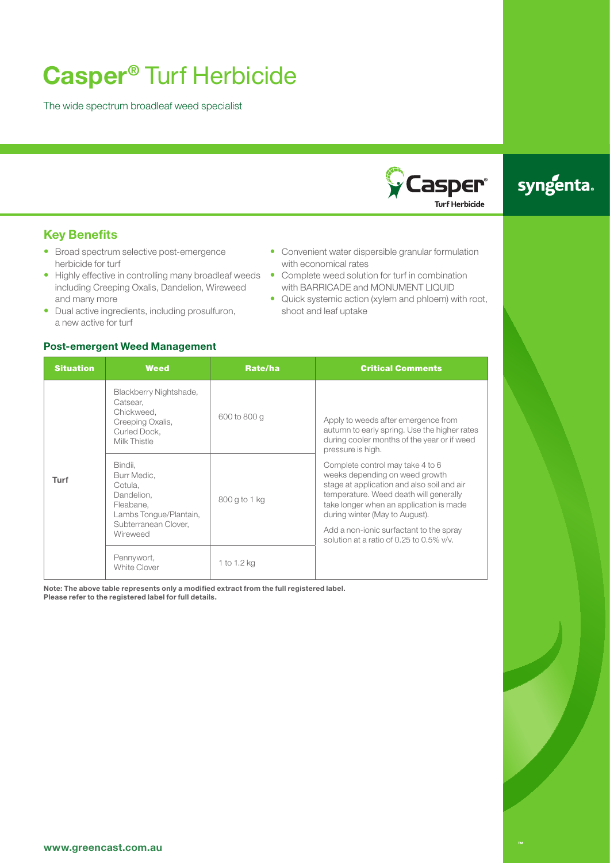# **Casper®** Turf Herbicide

The wide spectrum broadleaf weed specialist



## syngenta.

#### **Key Benefits**

- Broad spectrum selective post-emergence herbicide for turf
- Highly effective in controlling many broadleaf weeds including Creeping Oxalis, Dandelion, Wireweed and many more
- Dual active ingredients, including prosulfuron, a new active for turf

#### **Post-emergent Weed Management**

- Convenient water dispersible granular formulation with economical rates • Complete weed solution for turf in combination
	- with BARRICADE and MONUMENT LIQUID
	- Quick systemic action (xylem and phloem) with root, shoot and leaf uptake

| <b>Situation</b> | <b>Weed</b>                                                                                                                | Rate/ha       | <b>Critical Comments</b>                                                                                                                                                                                                                                                                                                          |
|------------------|----------------------------------------------------------------------------------------------------------------------------|---------------|-----------------------------------------------------------------------------------------------------------------------------------------------------------------------------------------------------------------------------------------------------------------------------------------------------------------------------------|
| Turf             | Blackberry Nightshade,<br>Catsear,<br>Chickweed.<br>Creeping Oxalis,<br>Curled Dock,<br>Milk Thistle                       | 600 to 800 g  | Apply to weeds after emergence from<br>autumn to early spring. Use the higher rates<br>during cooler months of the year or if weed<br>pressure is high.                                                                                                                                                                           |
|                  | Bindii.<br>Burr Medic,<br>Cotula.<br>Dandelion.<br>Fleabane.<br>Lambs Tonque/Plantain,<br>Subterranean Clover,<br>Wireweed | 800 g to 1 kg | Complete control may take 4 to 6<br>weeks depending on weed growth<br>stage at application and also soil and air<br>temperature. Weed death will generally<br>take longer when an application is made<br>during winter (May to August).<br>Add a non-ionic surfactant to the spray<br>solution at a ratio of 0.25 to 0.5% $v/v$ . |
|                  | Pennywort,<br>White Clover                                                                                                 | 1 to 1.2 kg   |                                                                                                                                                                                                                                                                                                                                   |

**Note: The above table represents only a modified extract from the full registered label. Please refer to the registered label for full details.**